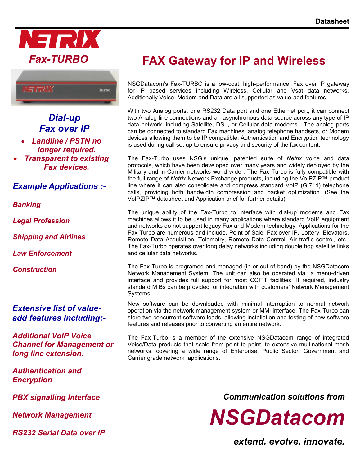



## *Dial-up Fax over IP*

- *Landline / PSTN no longer required.*
- *Transparent to existing Fax devices.*

## *Example Applications :-*

*Banking*

*Legal Profession*

*Shipping and Airlines*

*Law Enforcement*

*Construction*

### *Extensive list of valueadd features including:-*

*Additional VoIP Voice Channel for Management or long line extension.*

*Authentication and Encryption*

*PBX signalling Interface* 

*Network Management*

*RS232 Serial Data over IP*

# **FAX Gateway for IP and Wireless**

NSGDatacom's Fax-TURBO is a low-cost, high-performance, Fax over IP gateway for IP based services including Wireless, Cellular and Vsat data networks. Additionally Voice, Modem and Data are all supported as value-add features.

With two Analog ports, one RS232 Data port and one Ethernet port, it can connect two Analog line connections and an asynchronous data source across any type of IP data network, including Satellite, DSL, or Cellular data modems. The analog ports can be connected to standard Fax machines, analog telephone handsets, or Modem devices allowing them to be IP compatible. Authentication and Encryption technology is used during call set up to ensure privacy and security of the fax content.

The Fax-Turbo uses NSG's unique, patented suite of *Netrix* voice and data protocols, which have been developed over many years and widely deployed by the Military and in Carrier networks world wide . The Fax-Turbo is fully compatible with the full range of *Netrix* Network Exchange products, including the VoIPZIP™ product line where it can also consolidate and compress standard VoIP (G.711) telephone calls, providing both bandwidth compression and packet optimization. (See the VoIPZIP™ datasheet and Application brief for further details).

The unique ability of the Fax-Turbo to interface with dial-up modems and Fax machines allows it to be used in many applications where standard VoIP equipment and networks do not support legacy Fax and Modem technology. Applications for the Fax-Turbo are numerous and include, Point of Sale, Fax over IP, Lottery, Elevators, Remote Data Acquisition, Telemetry, Remote Data Control, Air traffic control, etc.. The Fax-Turbo operates over long delay networks including double hop satellite links and cellular data networks.

The Fax-Turbo is programed and managed (in or out of band) by the NSGDatacom Network Management System. The unit can also be operated via a menu-driven interface and provides full support for most CCITT facilities. If required, industry standard MIBs can be provided for integration with customers' Network Management Systems.

New software can be downloaded with minimal interruption to normal network operation via the network management system or MMI interface. The Fax-Turbo can store two concurrent software loads, allowing installation and testing of new software features and releases prior to converting an entire network.

The Fax-Turbo is a member of the extensive NSGDatacom range of integrated Voice/Data products that scale from point to point, to extensive multinational mesh networks, covering a wide range of Enterprise, Public Sector, Government and Carrier grade network applications.

*Communication solutions from*

*NSGDatacom*

*extend. evolve. innovate.*